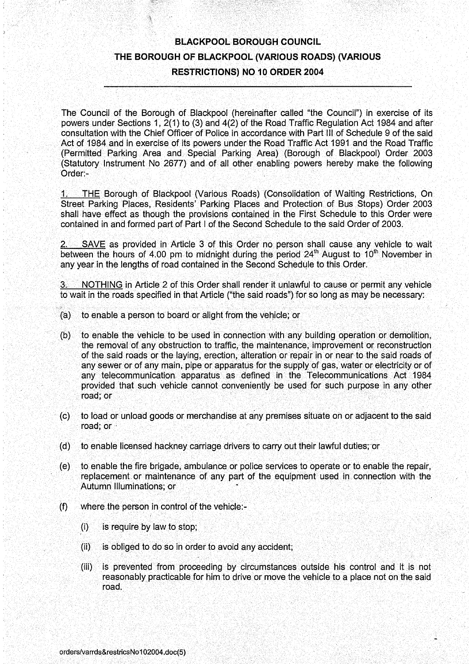# BLACKPOOL BOROUGH COUNCIL THE BOROUGH OF BLACKPOOL (VARIOUS ROADS) (VARIOUS RESTRICTIONS) NO 10 ORDER 2004

The Council of the Borough of Blackpool (hereinafter called "the Council") in exercise of its powers under Sections 1, 2(1) to (3) and 4(2) of the Road Traffic Regulation Act 1984 and after' consultation with the Chief Officer of Police in accordance with Part III of Schedule 9 of the said Act of 1984 and in exercise of its powers under the Road Traffic Act 1991 and the Road Traffic (Permitted Parking Area and Special Parking Area) (Borough of Blackpool) Order 2003 (Statutory Instrument No 2677) and of all other enabling powers hereby make the following Order:-

1. THE Borough of Blackpool (Various Roads) (Consolidation of Waiting Restrictions, On Street Parking Places, Residents' Parking Places and Protection of Bus Stops) Order 2003 shall have effect as though the provisions contained in the First Schedule to this Order were contained in and formed part of Part <sup>I</sup> of the Second Schedule to the said Order of 2003.

SAVE as provided in Article 3 of this Order no person shall cause any vehicle to wait between the hours of 4.00 pm to midnight during the period  $24<sup>th</sup>$  August to 10<sup>th</sup> November in any year in the lengths of road contained in the Second Schedule to this Order.

NOTHING in Article 2 of this Order shall render it unlawful to cause or permit any vehicle to wait in the roads specified in that Article ("the said roads") for so long as may be necessary :

- (a) to enable a person to board or alight from the vehicle; or
- (b) to enable the vehicle to be used in connection with any building operation or demolition, the removal of any obstruction to traffic, the maintenance, improvement or reconstruction of the said roads or the laying, erection, alteration or repair in or near to the said roads of any sewer or of any main, pipe or apparatus for the supply of gas, water or electricity or of any telecommunication apparatus as defined in the Telecommunications Act 1984 provided that such vehicle cannot conveniently be used for such purpose in any other road; or
- (c) to load or unload goods or merchandise at any premises situate on or adjacent to the said road; or
- (d) to enable licensed hackney carriage drivers to carry out their lawful duties; or
- (e) to enable the fire brigade, ambulance or police services to operate or to enable the repair, replacement or maintenance of any part of the equipment used in connection with the Autumn Illuminations; or
- $(f)$ where the person in control of the vehicle:-
	- (i) is require by law to stop;
	- (ii) is obliged to do so in order to avoid any accident;
	- $(iii)$ is prevented from proceeding by circumstances outside his control and it is not reasonably practicable for him to drive or move the vehicle to a place not on the said road.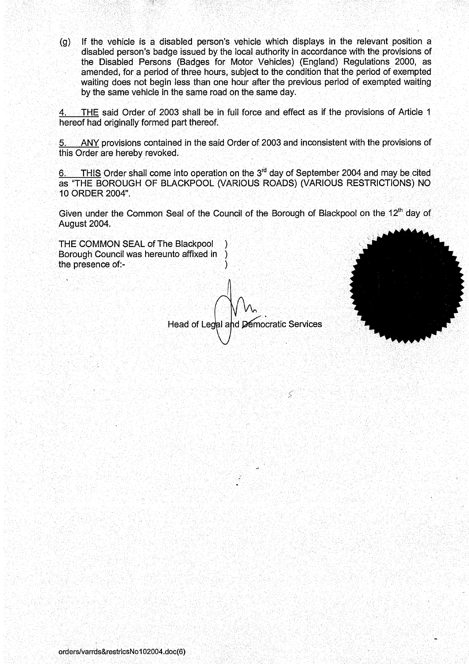If the vehicle is <sup>a</sup> disabled person's vehicle which displays in the relevant position a  $(g)$ disabled person's badge issued by the local authority in accordance with the provisions of the Disabled Persons (Badges for Motor Vehicles) (England) Regulations 2000, as amended, for a period of three hours, subject to the condition that the period of exempted waiting does not begin less than one hour after the previous period of exempted waiting by the same vehicle in the same road on the same day.

THE said Order of 2003 shall be in full force and effect as if the provisions of Article <sup>1</sup> hereof had originally formed part thereof.

ANY provisions contained in the said Order of 2003 and inconsistent with the provisions of this Order are hereby revoked.

waiting does not begin less than one hour after the previous period of exempted waiting<br>by the same vehicle in the same road on the same day.<br>4. THE said Order of 2003 shall be in full force and effect as if the provision as "THE BOROUGH OF BLACKPOOL (VARIOUS ROADS) (VARIOUS RESTRICTIONS) NO <sup>10</sup> ORDER 2004".

Given under the Common Seal of the Council of the Borough of Blackpool on the 12<sup>th</sup> day of August 2004.

THE COMMON SEAL of The Blackpool Borough Council was hereunto affixed in  $\lambda$ the presence of:-

Head of Legal and Democratic Services

≤